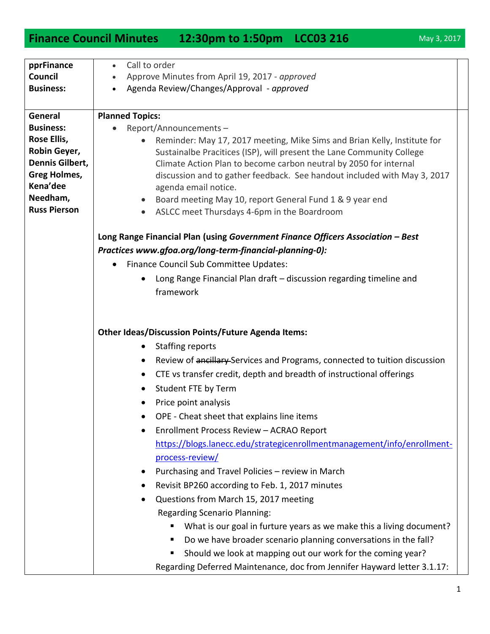## **Finance Council Minutes 12:30pm to 1:50pm LCC03 216** May 3, 2017

| Call to order<br>pprFinance<br>$\bullet$                                                                                                                 |                                                                          |
|----------------------------------------------------------------------------------------------------------------------------------------------------------|--------------------------------------------------------------------------|
| Council<br>Approve Minutes from April 19, 2017 - approved                                                                                                |                                                                          |
| Agenda Review/Changes/Approval - approved<br><b>Business:</b><br>$\bullet$                                                                               |                                                                          |
|                                                                                                                                                          |                                                                          |
| <b>Planned Topics:</b><br>General                                                                                                                        |                                                                          |
| <b>Business:</b><br>Report/Announcements-<br>$\bullet$                                                                                                   |                                                                          |
| Rose Ellis,<br>Reminder: May 17, 2017 meeting, Mike Sims and Brian Kelly, Institute for                                                                  |                                                                          |
| Robin Geyer,<br>Sustainalbe Pracitices (ISP), will present the Lane Community College                                                                    |                                                                          |
| Dennis Gilbert,<br>Climate Action Plan to become carbon neutral by 2050 for internal                                                                     |                                                                          |
| <b>Greg Holmes,</b><br>discussion and to gather feedback. See handout included with May 3, 2017<br>Kena'dee                                              |                                                                          |
| agenda email notice.<br>Needham,                                                                                                                         |                                                                          |
| Board meeting May 10, report General Fund 1 & 9 year end<br>$\bullet$<br><b>Russ Pierson</b><br>ASLCC meet Thursdays 4-6pm in the Boardroom<br>$\bullet$ |                                                                          |
|                                                                                                                                                          |                                                                          |
| Long Range Financial Plan (using Government Finance Officers Association - Best                                                                          |                                                                          |
| Practices www.gfoa.org/long-term-financial-planning-0):                                                                                                  |                                                                          |
| Finance Council Sub Committee Updates:                                                                                                                   |                                                                          |
| Long Range Financial Plan draft - discussion regarding timeline and                                                                                      |                                                                          |
| framework                                                                                                                                                |                                                                          |
|                                                                                                                                                          |                                                                          |
|                                                                                                                                                          |                                                                          |
|                                                                                                                                                          |                                                                          |
| <b>Other Ideas/Discussion Points/Future Agenda Items:</b>                                                                                                |                                                                          |
| <b>Staffing reports</b>                                                                                                                                  |                                                                          |
| Review of ancillary Services and Programs, connected to tuition discussion                                                                               |                                                                          |
| CTE vs transfer credit, depth and breadth of instructional offerings<br>$\bullet$                                                                        |                                                                          |
| Student FTE by Term<br>٠                                                                                                                                 |                                                                          |
| Price point analysis                                                                                                                                     |                                                                          |
| OPE - Cheat sheet that explains line items                                                                                                               |                                                                          |
| Enrollment Process Review - ACRAO Report                                                                                                                 |                                                                          |
| https://blogs.lanecc.edu/strategicenrollmentmanagement/info/enrollment-                                                                                  |                                                                          |
| process-review/                                                                                                                                          |                                                                          |
| Purchasing and Travel Policies - review in March                                                                                                         |                                                                          |
| Revisit BP260 according to Feb. 1, 2017 minutes                                                                                                          |                                                                          |
| Questions from March 15, 2017 meeting                                                                                                                    |                                                                          |
| <b>Regarding Scenario Planning:</b>                                                                                                                      |                                                                          |
| What is our goal in furture years as we make this a living document?                                                                                     |                                                                          |
| Do we have broader scenario planning conversations in the fall?                                                                                          |                                                                          |
| Should we look at mapping out our work for the coming year?                                                                                              |                                                                          |
|                                                                                                                                                          | Regarding Deferred Maintenance, doc from Jennifer Hayward letter 3.1.17: |